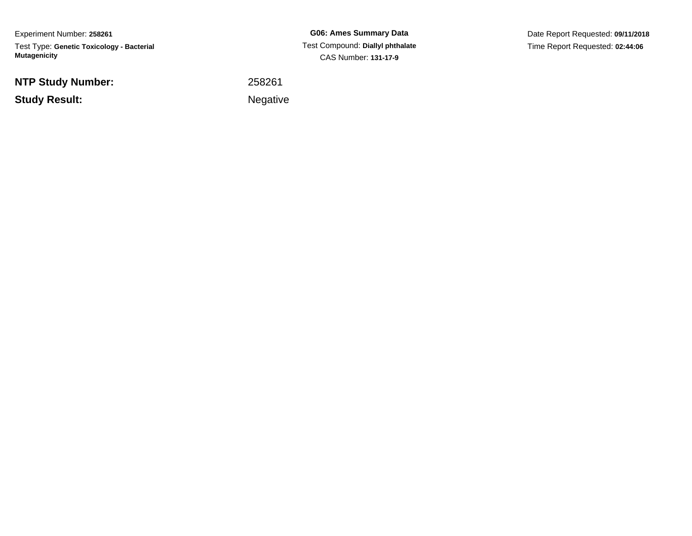Experiment Number: **258261**Test Type: **Genetic Toxicology - Bacterial Mutagenicity**

**NTP Study Number:**

**Study Result:**

**G06: Ames Summary Data** Test Compound: **Diallyl phthalate**CAS Number: **131-17-9**

Date Report Requested: **09/11/2018**Time Report Requested: **02:44:06**

<sup>258261</sup>

Negative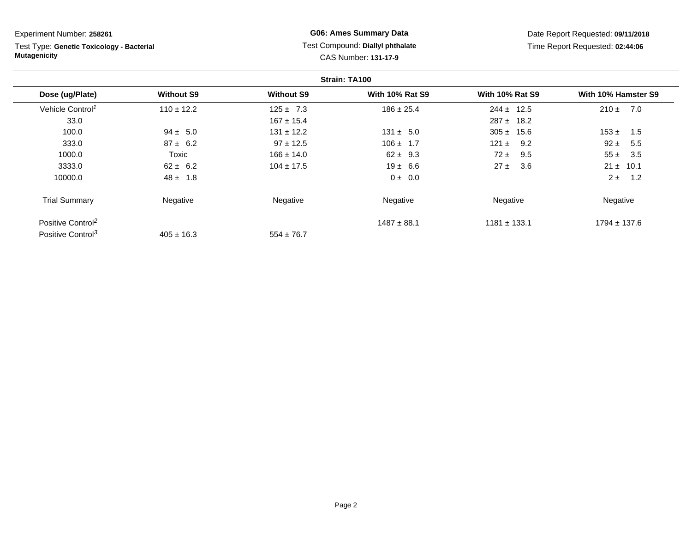Test Type: **Genetic Toxicology - Bacterial Mutagenicity**

## **G06: Ames Summary Data** Test Compound: **Diallyl phthalate**CAS Number: **131-17-9**

|                               |                   |                   | Strain: TA100          |                        |                     |
|-------------------------------|-------------------|-------------------|------------------------|------------------------|---------------------|
| Dose (ug/Plate)               | <b>Without S9</b> | <b>Without S9</b> | <b>With 10% Rat S9</b> | <b>With 10% Rat S9</b> | With 10% Hamster S9 |
| Vehicle Control <sup>1</sup>  | $110 \pm 12.2$    | $125 \pm 7.3$     | $186 \pm 25.4$         | $244 \pm 12.5$         | 7.0<br>$210 \pm$    |
| 33.0                          |                   | $167 \pm 15.4$    |                        | $287 \pm 18.2$         |                     |
| 100.0                         | $94 \pm 5.0$      | $131 \pm 12.2$    | $131 \pm 5.0$          | $305 \pm 15.6$         | $153 \pm$<br>1.5    |
| 333.0                         | $87 \pm 6.2$      | $97 \pm 12.5$     | $106 \pm 1.7$          | 9.2<br>121 $\pm$       | $92 \pm$<br>5.5     |
| 1000.0                        | Toxic             | $166 \pm 14.0$    | $62 \pm 9.3$           | $72 \pm$<br>9.5        | $55 \pm$<br>3.5     |
| 3333.0                        | $62 \pm 6.2$      | $104 \pm 17.5$    | $19 \pm 6.6$           | $27 \pm$<br>3.6        | $21 \pm 10.1$       |
| 10000.0                       | $48 \pm 1.8$      |                   | $0 \pm 0.0$            |                        | $2 \pm$<br>1.2      |
| <b>Trial Summary</b>          | Negative          | Negative          | Negative               | Negative               | Negative            |
| Positive Control <sup>2</sup> |                   |                   | $1487 \pm 88.1$        | $1181 \pm 133.1$       | $1794 \pm 137.6$    |
| Positive Control <sup>3</sup> | $405 \pm 16.3$    | $554 \pm 76.7$    |                        |                        |                     |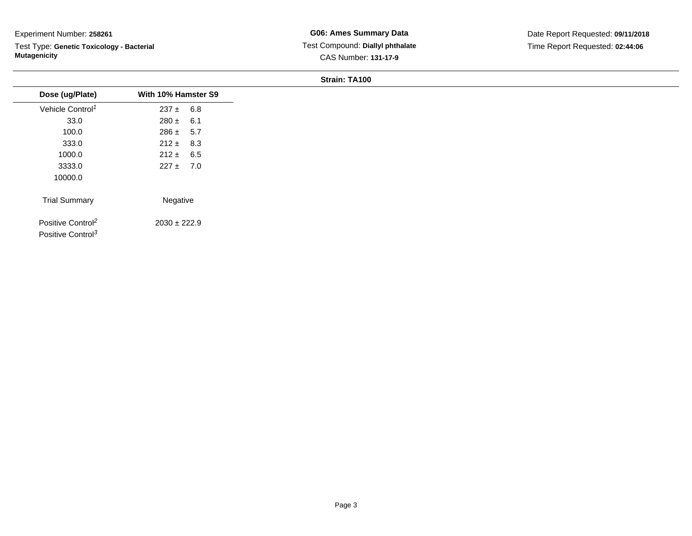Test Type: **Genetic Toxicology - Bacterial Mutagenicity**

**G06: Ames Summary Data** Test Compound: **Diallyl phthalate**CAS Number: **131-17-9**

| Dose (ug/Plate)               | With 10% Hamster S9 |  |
|-------------------------------|---------------------|--|
| Vehicle Control <sup>1</sup>  | $237 \pm 6.8$       |  |
| 33.0                          | $280 \pm 6.1$       |  |
| 100.0                         | $286 \pm 5.7$       |  |
| 333.0                         | $212 \pm 8.3$       |  |
| 1000.0                        | $212 \pm 6.5$       |  |
| 3333.0                        | $227 \pm 7.0$       |  |
| 10000.0                       |                     |  |
| <b>Trial Summary</b>          | Negative            |  |
| Positive Control <sup>2</sup> | $2030 \pm 222.9$    |  |
|                               |                     |  |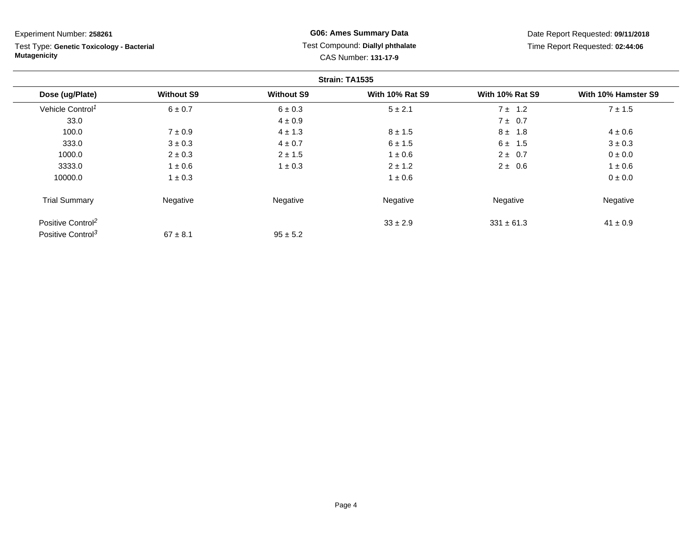Test Type: **Genetic Toxicology - Bacterial Mutagenicity**

## **G06: Ames Summary Data** Test Compound: **Diallyl phthalate**CAS Number: **131-17-9**

|                               |                   |                   | Strain: TA1535         |                        |                     |
|-------------------------------|-------------------|-------------------|------------------------|------------------------|---------------------|
| Dose (ug/Plate)               | <b>Without S9</b> | <b>Without S9</b> | <b>With 10% Rat S9</b> | <b>With 10% Rat S9</b> | With 10% Hamster S9 |
| Vehicle Control <sup>1</sup>  | $6 \pm 0.7$       | $6 \pm 0.3$       | $5 \pm 2.1$            | $7 \pm 1.2$            | $7 \pm 1.5$         |
| 33.0                          |                   | $4 \pm 0.9$       |                        | 7 ± 0.7                |                     |
| 100.0                         | $7 \pm 0.9$       | $4 \pm 1.3$       | $8 \pm 1.5$            | $8 \pm 1.8$            | $4 \pm 0.6$         |
| 333.0                         | $3 \pm 0.3$       | $4 \pm 0.7$       | $6 \pm 1.5$            | $6 \pm 1.5$            | $3 \pm 0.3$         |
| 1000.0                        | $2 \pm 0.3$       | $2 \pm 1.5$       | $1 \pm 0.6$            | $2 \pm 0.7$            | $0 \pm 0.0$         |
| 3333.0                        | $1 \pm 0.6$       | $1 \pm 0.3$       | $2 \pm 1.2$            | $2 \pm 0.6$            | $1 \pm 0.6$         |
| 10000.0                       | $1 \pm 0.3$       |                   | $1 \pm 0.6$            |                        | 0 ± 0.0             |
| <b>Trial Summary</b>          | Negative          | Negative          | Negative               | Negative               | Negative            |
| Positive Control <sup>2</sup> |                   |                   | $33 \pm 2.9$           | $331 \pm 61.3$         | $41 \pm 0.9$        |
| Positive Control <sup>3</sup> | $67 \pm 8.1$      | $95 \pm 5.2$      |                        |                        |                     |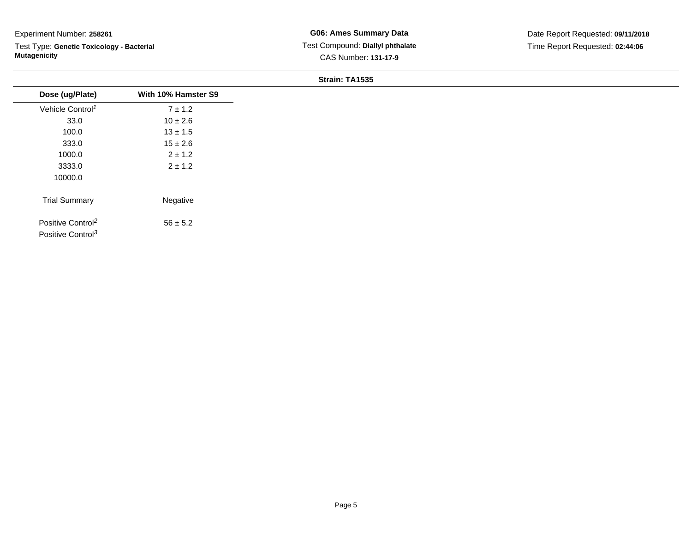Test Type: **Genetic Toxicology - Bacterial Mutagenicity**

| Dose (ug/Plate)                                                | With 10% Hamster S9 |
|----------------------------------------------------------------|---------------------|
| Vehicle Control <sup>1</sup>                                   | $7 \pm 1.2$         |
| 33.0                                                           | $10 \pm 2.6$        |
| 100.0                                                          | $13 \pm 1.5$        |
| 333.0                                                          | $15 \pm 2.6$        |
| 1000.0                                                         | $2 \pm 1.2$         |
| 3333.0                                                         | $2 \pm 1.2$         |
| 10000.0                                                        |                     |
| <b>Trial Summary</b>                                           | Negative            |
| Positive Control <sup>2</sup><br>Positive Control <sup>3</sup> | $56 \pm 5.2$        |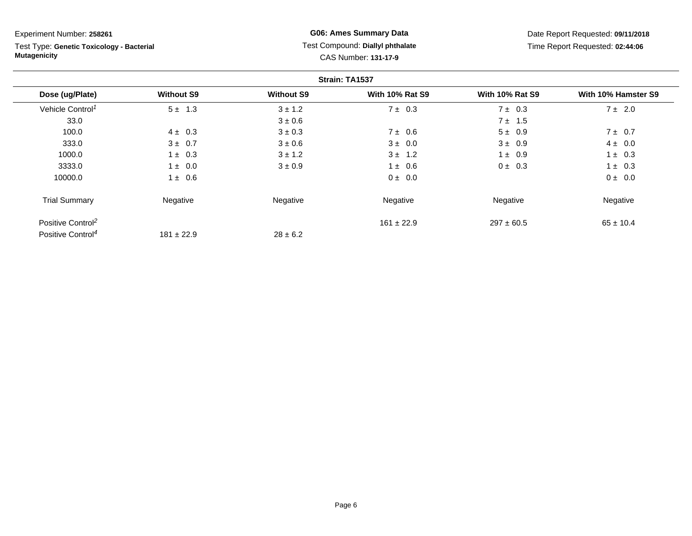Test Type: **Genetic Toxicology - Bacterial Mutagenicity**

**G06: Ames Summary Data** Test Compound: **Diallyl phthalate**CAS Number: **131-17-9**

|                               |                   |                   | Strain: TA1537         |                        |                     |
|-------------------------------|-------------------|-------------------|------------------------|------------------------|---------------------|
| Dose (ug/Plate)               | <b>Without S9</b> | <b>Without S9</b> | <b>With 10% Rat S9</b> | <b>With 10% Rat S9</b> | With 10% Hamster S9 |
| Vehicle Control <sup>1</sup>  | $5 \pm 1.3$       | $3 \pm 1.2$       | $7 \pm 0.3$            | $7 \pm 0.3$            | $7 \pm 2.0$         |
| 33.0                          |                   | $3 \pm 0.6$       |                        | $7 \pm 1.5$            |                     |
| 100.0                         | $4 \pm 0.3$       | $3 \pm 0.3$       | $7 \pm 0.6$            | $5 \pm 0.9$            | $7 \pm 0.7$         |
| 333.0                         | $3 \pm 0.7$       | $3 \pm 0.6$       | $3 \pm 0.0$            | $3 \pm 0.9$            | $4 \pm 0.0$         |
| 1000.0                        | $1 \pm 0.3$       | $3 \pm 1.2$       | $3 \pm 1.2$            | $1 \pm 0.9$            | $1 \pm 0.3$         |
| 3333.0                        | $1 \pm 0.0$       | $3 \pm 0.9$       | $1 \pm 0.6$            | $0 \pm 0.3$            | $1 \pm 0.3$         |
| 10000.0                       | $1 \pm 0.6$       |                   | $0 \pm 0.0$            |                        | 0 ± 0.0             |
| <b>Trial Summary</b>          | Negative          | Negative          | Negative               | Negative               | Negative            |
| Positive Control <sup>2</sup> |                   |                   | $161 \pm 22.9$         | $297 \pm 60.5$         | $65 \pm 10.4$       |
| Positive Control <sup>4</sup> | $181 \pm 22.9$    | $28 \pm 6.2$      |                        |                        |                     |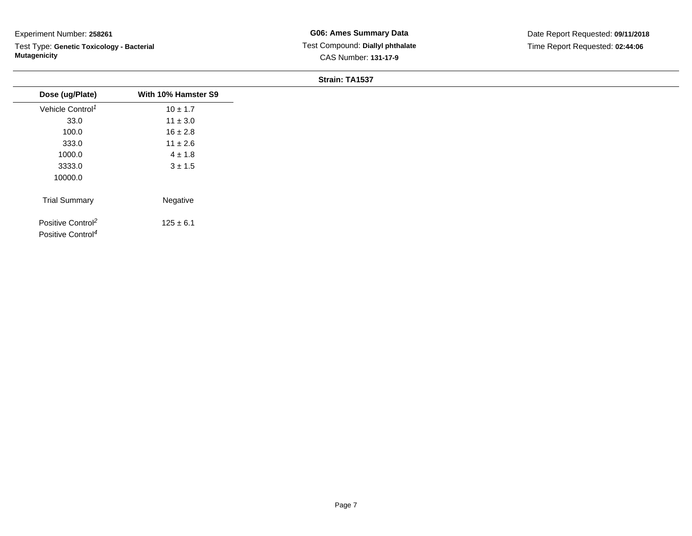Test Type: **Genetic Toxicology - Bacterial Mutagenicity**

| Dose (ug/Plate)                                                | With 10% Hamster S9 |
|----------------------------------------------------------------|---------------------|
| Vehicle Control <sup>1</sup>                                   | $10 \pm 1.7$        |
| 33.0                                                           | $11 \pm 3.0$        |
| 100.0                                                          | $16 \pm 2.8$        |
| 333.0                                                          | $11 \pm 2.6$        |
| 1000.0                                                         | $4 \pm 1.8$         |
| 3333.0                                                         | $3 \pm 1.5$         |
| 10000.0                                                        |                     |
| <b>Trial Summary</b>                                           | Negative            |
| Positive Control <sup>2</sup><br>Positive Control <sup>4</sup> | $125 \pm 6.1$       |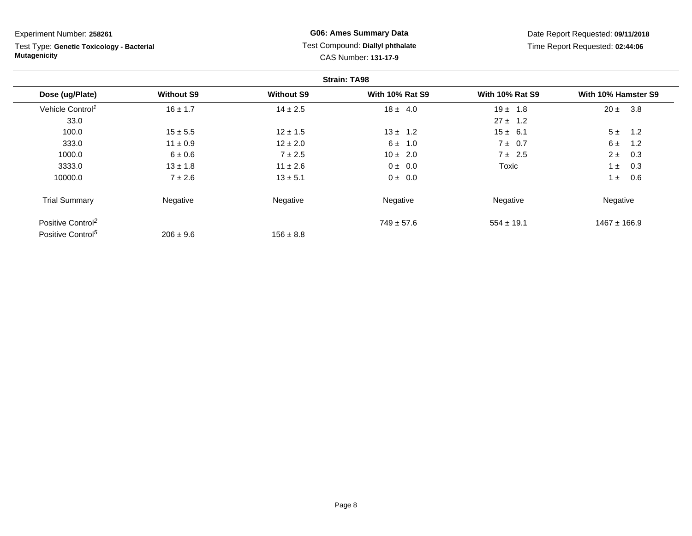Test Type: **Genetic Toxicology - Bacterial Mutagenicity**

## **G06: Ames Summary Data** Test Compound: **Diallyl phthalate**CAS Number: **131-17-9**

|                               |                   |                   | <b>Strain: TA98</b>    |                        |                     |
|-------------------------------|-------------------|-------------------|------------------------|------------------------|---------------------|
| Dose (ug/Plate)               | <b>Without S9</b> | <b>Without S9</b> | <b>With 10% Rat S9</b> | <b>With 10% Rat S9</b> | With 10% Hamster S9 |
| Vehicle Control <sup>1</sup>  | $16 \pm 1.7$      | $14 \pm 2.5$      | $18 \pm 4.0$           | $19 \pm 1.8$           | $20 \pm$<br>3.8     |
| 33.0                          |                   |                   |                        | $27 \pm 1.2$           |                     |
| 100.0                         | $15 \pm 5.5$      | $12 \pm 1.5$      | $13 \pm 1.2$           | $15 \pm 6.1$           | 5±<br>1.2           |
| 333.0                         | $11 \pm 0.9$      | $12 \pm 2.0$      | $6 \pm 1.0$            | $7 \pm 0.7$            | 6±<br>1.2           |
| 1000.0                        | $6 \pm 0.6$       | $7 \pm 2.5$       | $10 \pm 2.0$           | $7 \pm 2.5$            | $2 \pm$<br>0.3      |
| 3333.0                        | $13 \pm 1.8$      | $11 \pm 2.6$      | $0 \pm 0.0$            | Toxic                  | 0.3<br>$1 \pm$      |
| 10000.0                       | $7 \pm 2.6$       | $13 \pm 5.1$      | $0 \pm 0.0$            |                        | 0.6<br>$1 \pm$      |
| <b>Trial Summary</b>          | Negative          | Negative          | Negative               | Negative               | Negative            |
| Positive Control <sup>2</sup> |                   |                   | $749 \pm 57.6$         | $554 \pm 19.1$         | $1467 \pm 166.9$    |
| Positive Control <sup>5</sup> | $206 \pm 9.6$     | $156 \pm 8.8$     |                        |                        |                     |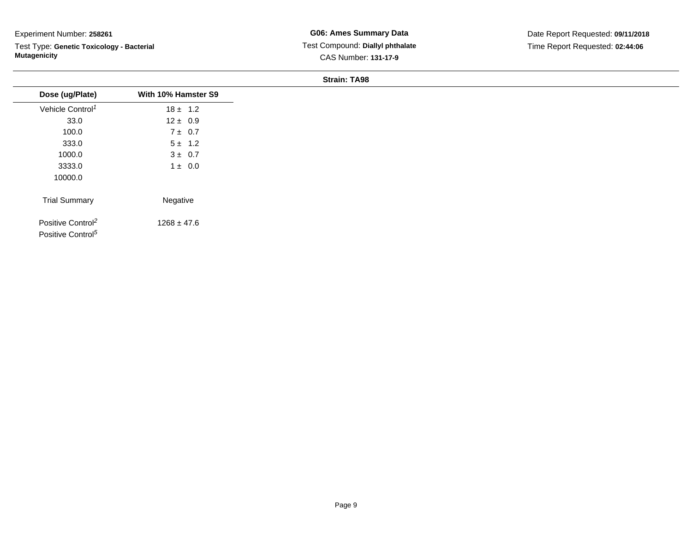Test Type: **Genetic Toxicology - Bacterial Mutagenicity**

**G06: Ames Summary Data** Test Compound: **Diallyl phthalate**CAS Number: **131-17-9**

Date Report Requested: **09/11/2018**Time Report Requested: **02:44:06**

| With 10% Hamster S9<br>$18 \pm 1.2$<br>$12 \pm 0.9$<br>$7 \pm 0.7$<br>$5 \pm 1.2$<br>$3 \pm 0.7$<br>$1 \pm 0.0$<br>Negative<br>$1268 \pm 47.6$ |                                                                |  |
|------------------------------------------------------------------------------------------------------------------------------------------------|----------------------------------------------------------------|--|
|                                                                                                                                                | Dose (ug/Plate)                                                |  |
|                                                                                                                                                | Vehicle Control <sup>1</sup>                                   |  |
|                                                                                                                                                | 33.0                                                           |  |
|                                                                                                                                                | 100.0                                                          |  |
|                                                                                                                                                | 333.0                                                          |  |
|                                                                                                                                                | 1000.0                                                         |  |
|                                                                                                                                                | 3333.0                                                         |  |
|                                                                                                                                                | 10000.0                                                        |  |
|                                                                                                                                                | <b>Trial Summary</b>                                           |  |
|                                                                                                                                                | Positive Control <sup>2</sup><br>Positive Control <sup>5</sup> |  |